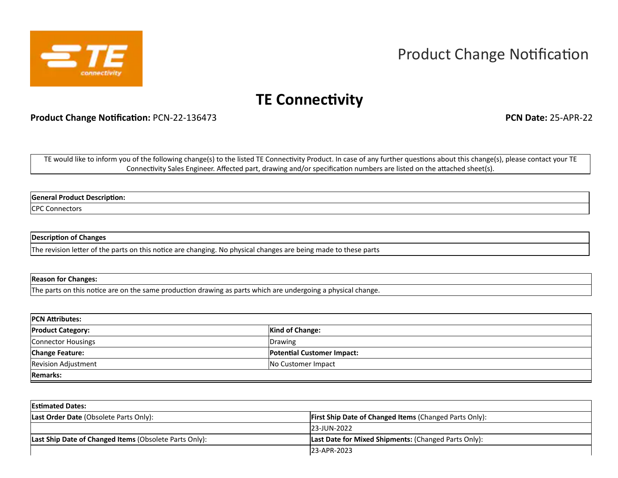

# Product Change Notification

## **TE Connectivity**

**Product Change Notification:** PCN-22-136473 **PCN Date:** 25-APR-22

TE would like to inform you of the following change(s) to the listed TE Connectivity Product. In case of any further questions about this change(s), please contact your TE Connectivity Sales Engineer. Affected part, drawing and/or specification numbers are listed on the attached sheet(s).

**General Product Description:**

CPC Connectors

#### **Description of Changes**

The revision letter of the parts on this notice are changing. No physical changes are being made to these parts

#### **Reason for Changes:**

The parts on this notice are on the same production drawing as parts which are undergoing a physical change.

| <b>PCN Attributes:</b>     |                                   |  |  |  |
|----------------------------|-----------------------------------|--|--|--|
| <b>Product Category:</b>   | <b>Kind of Change:</b>            |  |  |  |
| Connector Housings         | Drawing                           |  |  |  |
| <b>Change Feature:</b>     | <b>Potential Customer Impact:</b> |  |  |  |
| <b>Revision Adjustment</b> | No Customer Impact                |  |  |  |
| <b>Remarks:</b>            |                                   |  |  |  |

| <b>Estimated Dates:</b>                                |                                                               |  |  |  |  |  |
|--------------------------------------------------------|---------------------------------------------------------------|--|--|--|--|--|
| Last Order Date (Obsolete Parts Only):                 | <b>First Ship Date of Changed Items (Changed Parts Only):</b> |  |  |  |  |  |
|                                                        | I23-JUN-2022                                                  |  |  |  |  |  |
| Last Ship Date of Changed Items (Obsolete Parts Only): | Last Date for Mixed Shipments: (Changed Parts Only):          |  |  |  |  |  |
|                                                        | I23-APR-2023                                                  |  |  |  |  |  |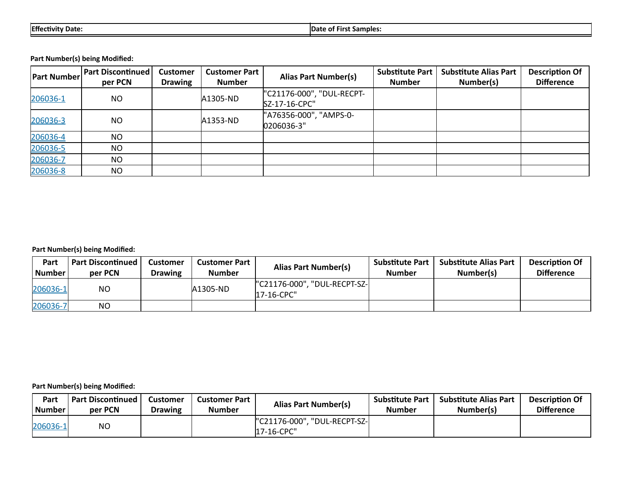**Part Number(s) being Modified:**

| <b>Part Number</b> | <b>Part Discontinued</b><br>per PCN | <b>Customer</b><br><b>Drawing</b> | <b>Customer Part</b><br><b>Number</b> | <b>Alias Part Number(s)</b>                | <b>Substitute Part</b><br><b>Number</b> | <b>Substitute Alias Part</b><br>Number(s) | <b>Description Of</b><br><b>Difference</b> |
|--------------------|-------------------------------------|-----------------------------------|---------------------------------------|--------------------------------------------|-----------------------------------------|-------------------------------------------|--------------------------------------------|
| 206036-1           | <b>NO</b>                           |                                   | A1305-ND                              | "C21176-000", "DUL-RECPT-<br>SZ-17-16-CPC" |                                         |                                           |                                            |
| 206036-3           | <b>NO</b>                           |                                   | A1353-ND                              | "A76356-000", "AMPS-0-<br>0206036-3"       |                                         |                                           |                                            |
| 206036-4           | <b>NO</b>                           |                                   |                                       |                                            |                                         |                                           |                                            |
| 206036-5           | <b>NO</b>                           |                                   |                                       |                                            |                                         |                                           |                                            |
| 206036-7           | <b>NO</b>                           |                                   |                                       |                                            |                                         |                                           |                                            |
| 206036-8           | <b>NO</b>                           |                                   |                                       |                                            |                                         |                                           |                                            |

## **Part Number(s) being Modified:**

| Part<br><b>Number</b> | <b>Part Discontinued</b><br>per PCN | Customer<br><b>Drawing</b> | Customer Part<br><b>Number</b> | <b>Alias Part Number(s)</b>                | <b>Substitute Part</b><br>Number | <b>Substitute Alias Part</b><br>Number(s) | <b>Description Of</b><br><b>Difference</b> |
|-----------------------|-------------------------------------|----------------------------|--------------------------------|--------------------------------------------|----------------------------------|-------------------------------------------|--------------------------------------------|
| 206036-1              | NO                                  |                            | A1305-ND                       | "C21176-000", "DUL-RECPT-SZ-<br>17-16-CPC" |                                  |                                           |                                            |
| 206036-7              | NO                                  |                            |                                |                                            |                                  |                                           |                                            |

## **Part Number(s) being Modified:**

| Part     | <b>Part Discontinued</b> | Customer       | Customer Part | <b>Alias Part Number(s)</b>                      | <b>Substitute Part</b> | <b>Substitute Alias Part</b> | <b>Description Of</b> |
|----------|--------------------------|----------------|---------------|--------------------------------------------------|------------------------|------------------------------|-----------------------|
| l Number | per PCN                  | <b>Drawing</b> | <b>Number</b> |                                                  | <b>Number</b>          | Number(s)                    | <b>Difference</b>     |
| 206036-1 | ΝO                       |                |               | l"C21176-000", "DUL-RECPT-SZ- <br>$ 17-16$ -CPC" |                        |                              |                       |